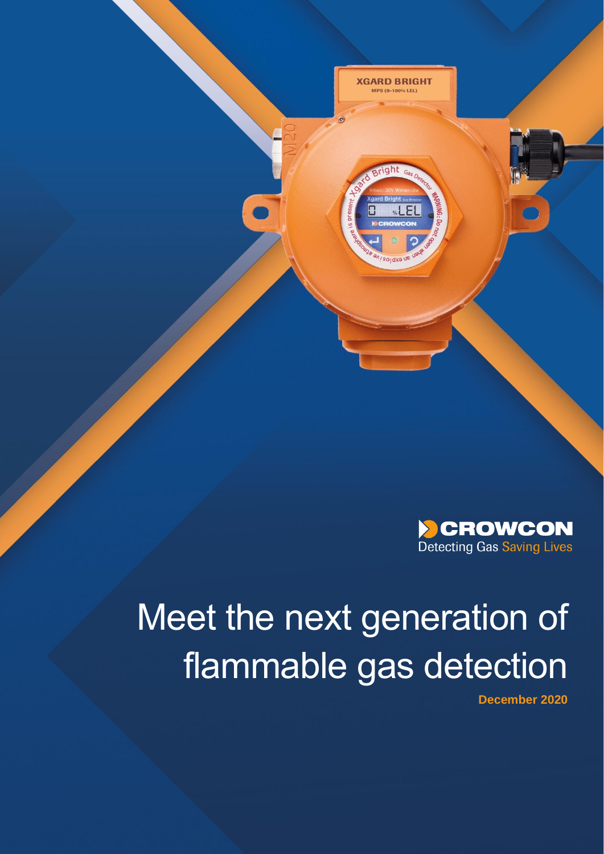

**XGARD BRIGHT** MPS (0-100% LEL)



# Meet the next generation of flammable gas detection

ammabilität gas detection detection des secondes des consequents de la consequencia de la consequencia de la c<br>La consequencia de la consequencia de la consequencia de la consequencia de la consequencia de la consequencia **December 2020**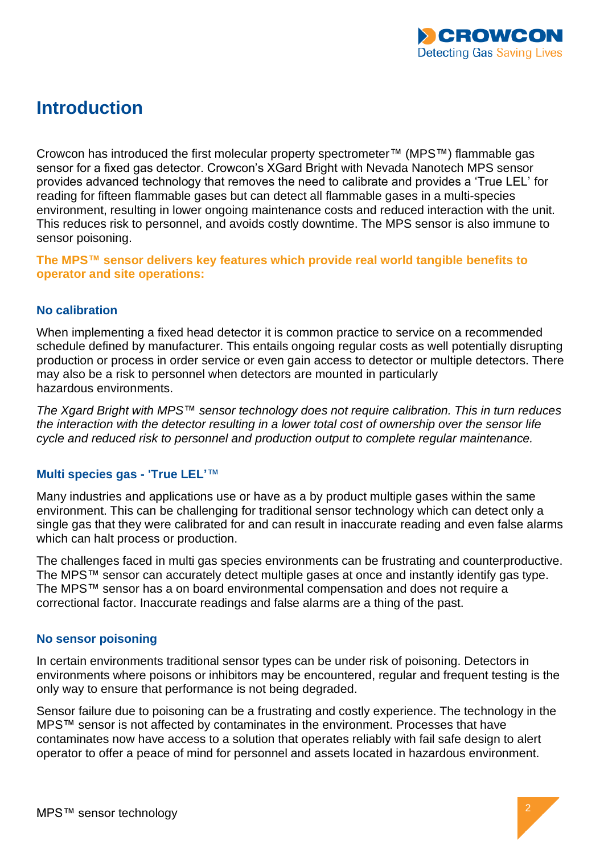

## **Introduction**

Crowcon has introduced the first molecular property spectrometer™ (MPS™) flammable gas sensor for a fixed gas detector. Crowcon's XGard Bright with Nevada Nanotech MPS sensor provides advanced technology that removes the need to calibrate and provides a 'True LEL' for reading for fifteen flammable gases but can detect all flammable gases in a multi-species environment, resulting in lower ongoing maintenance costs and reduced interaction with the unit. This reduces risk to personnel, and avoids costly downtime. The MPS sensor is also immune to sensor poisoning.

**The MPS™ sensor delivers key features which provide real world tangible benefits to operator and site operations:**

#### **No calibration**

When implementing a fixed head detector it is common practice to service on a recommended schedule defined by manufacturer. This entails ongoing regular costs as well potentially disrupting production or process in order service or even gain access to detector or multiple detectors. There may also be a risk to personnel when detectors are mounted in particularly hazardous environments.

*The Xgard Bright with MPS*™ *sensor technology does not require calibration. This in turn reduces the interaction with the detector resulting in a lower total cost of ownership over the sensor life cycle and reduced risk to personnel and production output to complete regular maintenance.* 

#### **Multi species gas - 'True LEL'**™

Many industries and applications use or have as a by product multiple gases within the same environment. This can be challenging for traditional sensor technology which can detect only a single gas that they were calibrated for and can result in inaccurate reading and even false alarms which can halt process or production.

The challenges faced in multi gas species environments can be frustrating and counterproductive. The MPS™ sensor can accurately detect multiple gases at once and instantly identify gas type. The MPS™ sensor has a on board environmental compensation and does not require a correctional factor. Inaccurate readings and false alarms are a thing of the past.

#### **No sensor poisoning**

In certain environments traditional sensor types can be under risk of poisoning. Detectors in environments where poisons or inhibitors may be encountered, regular and frequent testing is the only way to ensure that performance is not being degraded.

Sensor failure due to poisoning can be a frustrating and costly experience. The technology in the MPS™ sensor is not affected by contaminates in the environment. Processes that have contaminates now have access to a solution that operates reliably with fail safe design to alert operator to offer a peace of mind for personnel and assets located in hazardous environment.

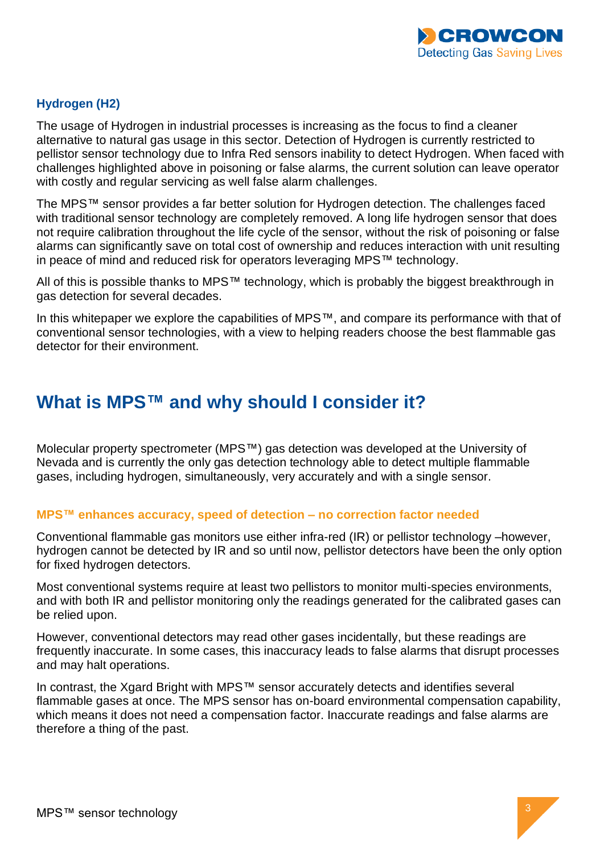

#### **Hydrogen (H2)**

The usage of Hydrogen in industrial processes is increasing as the focus to find a cleaner alternative to natural gas usage in this sector. Detection of Hydrogen is currently restricted to pellistor sensor technology due to Infra Red sensors inability to detect Hydrogen. When faced with challenges highlighted above in poisoning or false alarms, the current solution can leave operator with costly and regular servicing as well false alarm challenges.

The MPS™ sensor provides a far better solution for Hydrogen detection. The challenges faced with traditional sensor technology are completely removed. A long life hydrogen sensor that does not require calibration throughout the life cycle of the sensor, without the risk of poisoning or false alarms can significantly save on total cost of ownership and reduces interaction with unit resulting in peace of mind and reduced risk for operators leveraging MPS™ technology.

All of this is possible thanks to MPS™ technology, which is probably the biggest breakthrough in gas detection for several decades.

In this whitepaper we explore the capabilities of MPS™, and compare its performance with that of conventional sensor technologies, with a view to helping readers choose the best flammable gas detector for their environment.

### **What is MPS™ and why should I consider it?**

Molecular property spectrometer (MPS™) gas detection was developed at the University of Nevada and is currently the only gas detection technology able to detect multiple flammable gases, including hydrogen, simultaneously, very accurately and with a single sensor.

#### **MPS™ enhances accuracy, speed of detection – no correction factor needed**

Conventional flammable gas monitors use either infra-red (IR) or pellistor technology –however, hydrogen cannot be detected by IR and so until now, pellistor detectors have been the only option for fixed hydrogen detectors.

Most conventional systems require at least two pellistors to monitor multi-species environments, and with both IR and pellistor monitoring only the readings generated for the calibrated gases can be relied upon.

However, conventional detectors may read other gases incidentally, but these readings are frequently inaccurate. In some cases, this inaccuracy leads to false alarms that disrupt processes and may halt operations.

In contrast, the Xgard Bright with MPS™ sensor accurately detects and identifies several flammable gases at once. The MPS sensor has on-board environmental compensation capability, which means it does not need a compensation factor. Inaccurate readings and false alarms are therefore a thing of the past.

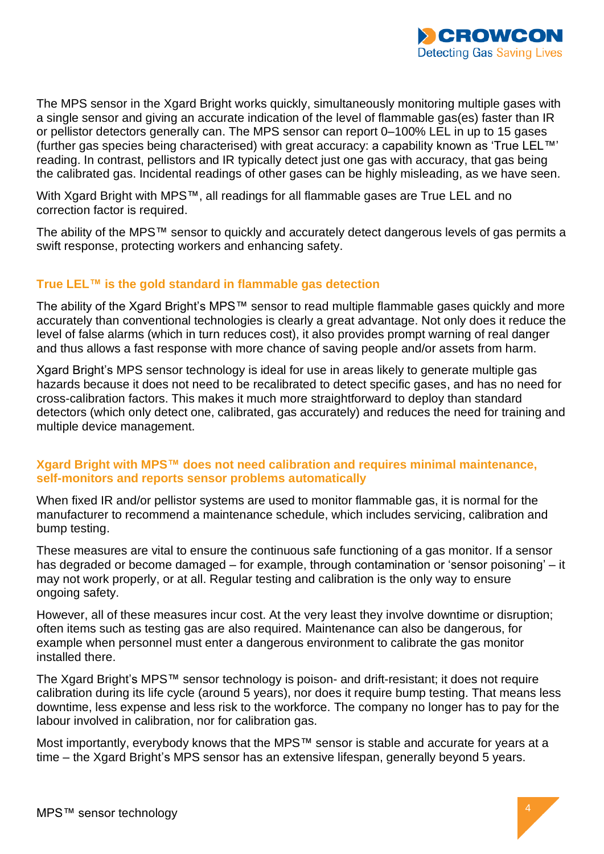

The MPS sensor in the Xgard Bright works quickly, simultaneously monitoring multiple gases with a single sensor and giving an accurate indication of the level of flammable gas(es) faster than IR or pellistor detectors generally can. The MPS sensor can report 0–100% LEL in up to 15 gases (further gas species being characterised) with great accuracy: a capability known as 'True LEL™' reading. In contrast, pellistors and IR typically detect just one gas with accuracy, that gas being the calibrated gas. Incidental readings of other gases can be highly misleading, as we have seen.

With Xgard Bright with MPS™, all readings for all flammable gases are True LEL and no correction factor is required.

The ability of the MPS™ sensor to quickly and accurately detect dangerous levels of gas permits a swift response, protecting workers and enhancing safety.

#### **True LEL™ is the gold standard in flammable gas detection**

The ability of the Xgard Bright's MPS™ sensor to read multiple flammable gases quickly and more accurately than conventional technologies is clearly a great advantage. Not only does it reduce the level of false alarms (which in turn reduces cost), it also provides prompt warning of real danger and thus allows a fast response with more chance of saving people and/or assets from harm.

Xgard Bright's MPS sensor technology is ideal for use in areas likely to generate multiple gas hazards because it does not need to be recalibrated to detect specific gases, and has no need for cross-calibration factors. This makes it much more straightforward to deploy than standard detectors (which only detect one, calibrated, gas accurately) and reduces the need for training and multiple device management.

#### **Xgard Bright with MPS™ does not need calibration and requires minimal maintenance, self-monitors and reports sensor problems automatically**

When fixed IR and/or pellistor systems are used to monitor flammable gas, it is normal for the manufacturer to recommend a maintenance schedule, which includes servicing, calibration and bump testing.

These measures are vital to ensure the continuous safe functioning of a gas monitor. If a sensor has degraded or become damaged – for example, through contamination or 'sensor poisoning' – it may not work properly, or at all. Regular testing and calibration is the only way to ensure ongoing safety.

However, all of these measures incur cost. At the very least they involve downtime or disruption; often items such as testing gas are also required. Maintenance can also be dangerous, for example when personnel must enter a dangerous environment to calibrate the gas monitor installed there.

The Xgard Bright's MPS™ sensor technology is poison- and drift-resistant; it does not require calibration during its life cycle (around 5 years), nor does it require bump testing. That means less downtime, less expense and less risk to the workforce. The company no longer has to pay for the labour involved in calibration, nor for calibration gas.

Most importantly, everybody knows that the MPS™ sensor is stable and accurate for years at a time – the Xgard Bright's MPS sensor has an extensive lifespan, generally beyond 5 years.

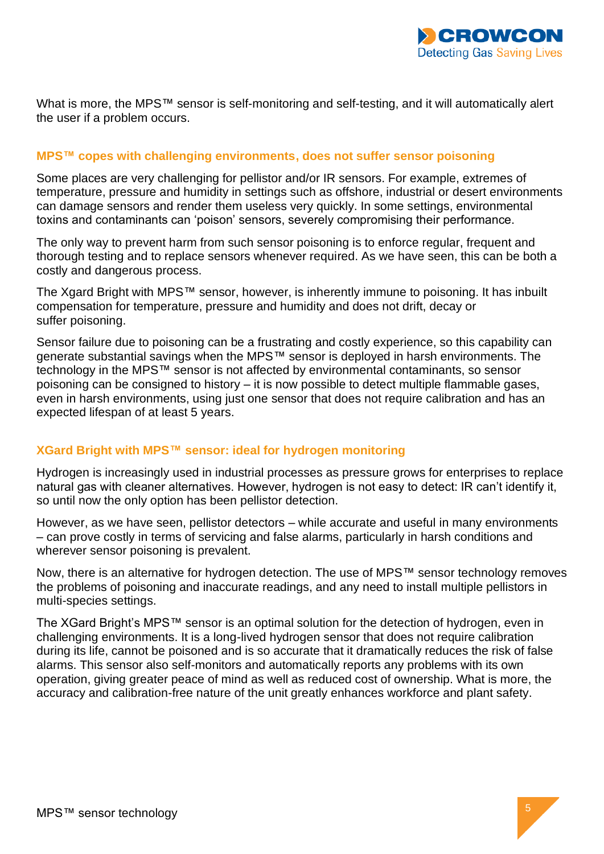

What is more, the MPS™ sensor is self-monitoring and self-testing, and it will automatically alert the user if a problem occurs.

#### **MPS™ copes with challenging environments, does not suffer sensor poisoning**

Some places are very challenging for pellistor and/or IR sensors. For example, extremes of temperature, pressure and humidity in settings such as offshore, industrial or desert environments can damage sensors and render them useless very quickly. In some settings, environmental toxins and contaminants can 'poison' sensors, severely compromising their performance.

The only way to prevent harm from such sensor poisoning is to enforce regular, frequent and thorough testing and to replace sensors whenever required. As we have seen, this can be both a costly and dangerous process.

The Xgard Bright with MPS™ sensor, however, is inherently immune to poisoning. It has inbuilt compensation for temperature, pressure and humidity and does not drift, decay or suffer poisoning.

Sensor failure due to poisoning can be a frustrating and costly experience, so this capability can generate substantial savings when the MPS™ sensor is deployed in harsh environments. The technology in the MPS™ sensor is not affected by environmental contaminants, so sensor poisoning can be consigned to history – it is now possible to detect multiple flammable gases, even in harsh environments, using just one sensor that does not require calibration and has an expected lifespan of at least 5 years.

#### **XGard Bright with MPS™ sensor: ideal for hydrogen monitoring**

Hydrogen is increasingly used in industrial processes as pressure grows for enterprises to replace natural gas with cleaner alternatives. However, hydrogen is not easy to detect: IR can't identify it, so until now the only option has been pellistor detection.

However, as we have seen, pellistor detectors – while accurate and useful in many environments – can prove costly in terms of servicing and false alarms, particularly in harsh conditions and wherever sensor poisoning is prevalent.

Now, there is an alternative for hydrogen detection. The use of MPS™ sensor technology removes the problems of poisoning and inaccurate readings, and any need to install multiple pellistors in multi-species settings.

The XGard Bright's MPS™ sensor is an optimal solution for the detection of hydrogen, even in challenging environments. It is a long-lived hydrogen sensor that does not require calibration during its life, cannot be poisoned and is so accurate that it dramatically reduces the risk of false alarms. This sensor also self-monitors and automatically reports any problems with its own operation, giving greater peace of mind as well as reduced cost of ownership. What is more, the accuracy and calibration-free nature of the unit greatly enhances workforce and plant safety.